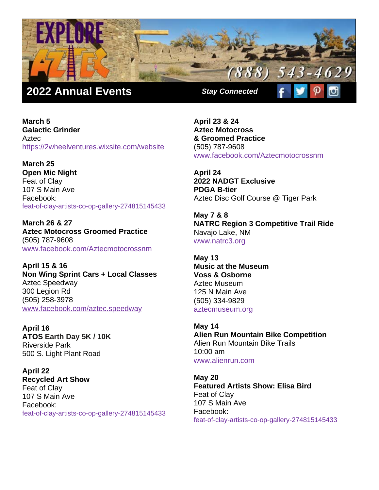

**March 5 Galactic Grinder Aztec** https://2wheelventures.wixsite.com/website

**March 25 Open Mic Night** Feat of Clay 107 S Main Ave Facebook: feat-of-clay-artists-co-op-gallery-274815145433

**March 26 & 27 Aztec Motocross Groomed Practice**  (505) 787-9608 www.facebook.com/Aztecmotocrossnm

**April 15 & 16 Non Wing Sprint Cars + Local Classes** Aztec Speedway 300 Legion Rd (505) 258-3978 [www.facebook.com/aztec.speedway](http://www.facebook.com/aztec.speedway/)

**April 16 ATOS Earth Day 5K / 10K** Riverside Park 500 S. Light Plant Road

**April 22 Recycled Art Show** Feat of Clay 107 S Main Ave Facebook: feat-of-clay-artists-co-op-gallery-274815145433 **April 23 & 24 Aztec Motocross & Groomed Practice**  (505) 787-9608 www.facebook.com/Aztecmotocrossnm

**April 24 2022 NADGT Exclusive PDGA B-tier**  Aztec Disc Golf Course @ Tiger Park

**May 7 & 8 NATRC Region 3 Competitive Trail Ride** Navajo Lake, NM www.natrc3.org

**May 13 Music at the Museum Voss & Osborne** Aztec Museum 125 N Main Ave (505) 334-9829 [aztecmuseum.org](https://aztecmuseum.org/)

**May 14 Alien Run Mountain Bike Competition** Alien Run Mountain Bike Trails 10:00 am [www.alienrun.com](http://www.alienrun.com/)

**May 20 Featured Artists Show: Elisa Bird**  Feat of Clay 107 S Main Ave Facebook: feat-of-clay-artists-co-op-gallery-274815145433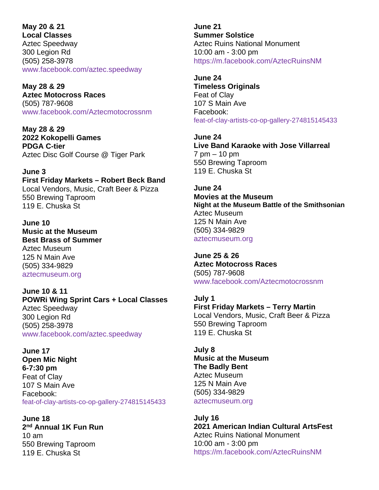## **May 20 & 21**

**Local Classes** Aztec Speedway 300 Legion Rd (505) 258-3978 [www.facebook.com/aztec.speedway](http://www.facebook.com/aztec.speedway/)

**May 28 & 29 Aztec Motocross Races** (505) 787-9608 www.facebook.com/Aztecmotocrossnm

**May 28 & 29 2022 Kokopelli Games PDGA C-tier**  Aztec Disc Golf Course @ Tiger Park

**June 3 First Friday Markets – Robert Beck Band** Local Vendors, Music, Craft Beer & Pizza 550 Brewing Taproom 119 E. Chuska St

**June 10 Music at the Museum Best Brass of Summer** Aztec Museum 125 N Main Ave (505) 334-9829 [aztecmuseum.org](https://aztecmuseum.org/)

**June 10 & 11 POWRi Wing Sprint Cars + Local Classes** Aztec Speedway 300 Legion Rd (505) 258-3978 [www.facebook.com/aztec.speedway](http://www.facebook.com/aztec.speedway/)

**June 17 Open Mic Night 6-7:30 pm** Feat of Clay 107 S Main Ave Facebook: feat-of-clay-artists-co-op-gallery-274815145433

**June 18 2nd Annual 1K Fun Run** 10 am 550 Brewing Taproom 119 E. Chuska St

**June 21 Summer Solstice** Aztec Ruins National Monument 10:00 am - 3:00 pm <https://m.facebook.com/AztecRuinsNM>

**June 24 Timeless Originals** Feat of Clay 107 S Main Ave Facebook: feat-of-clay-artists-co-op-gallery-274815145433

**June 24 Live Band Karaoke with Jose Villarreal** 7 pm – 10 pm 550 Brewing Taproom 119 E. Chuska St

**June 24 Movies at the Museum Night at the Museum Battle of the Smithsonian**  Aztec Museum 125 N Main Ave (505) 334-9829 [aztecmuseum.org](https://aztecmuseum.org/)

**June 25 & 26 Aztec Motocross Races** (505) 787-9608 www.facebook.com/Aztecmotocrossnm

**July 1 First Friday Markets – Terry Martin** Local Vendors, Music, Craft Beer & Pizza 550 Brewing Taproom 119 E. Chuska St

**July 8 Music at the Museum The Badly Bent** Aztec Museum 125 N Main Ave (505) 334-9829 [aztecmuseum.org](https://aztecmuseum.org/)

**July 16 2021 American Indian Cultural ArtsFest** Aztec Ruins National Monument 10:00 am - 3:00 pm <https://m.facebook.com/AztecRuinsNM>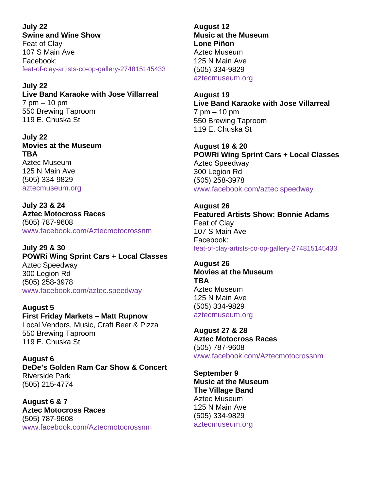**July 22 Swine and Wine Show** Feat of Clay 107 S Main Ave Facebook: feat-of-clay-artists-co-op-gallery-274815145433

**July 22 Live Band Karaoke with Jose Villarreal** 7 pm – 10 pm 550 Brewing Taproom 119 E. Chuska St

**July 22 Movies at the Museum TBA**  Aztec Museum 125 N Main Ave (505) 334-9829 [aztecmuseum.org](https://aztecmuseum.org/)

**July 23 & 24 Aztec Motocross Races** (505) 787-9608 www.facebook.com/Aztecmotocrossnm

**July 29 & 30 POWRi Wing Sprint Cars + Local Classes** Aztec Speedway 300 Legion Rd (505) 258-3978 [www.facebook.com/aztec.speedway](http://www.facebook.com/aztec.speedway/)

**August 5 First Friday Markets – Matt Rupnow** Local Vendors, Music, Craft Beer & Pizza 550 Brewing Taproom 119 E. Chuska St

**August 6 DeDe's Golden Ram Car Show & Concert** Riverside Park (505) 215-4774

**August 6 & 7 Aztec Motocross Races** (505) 787-9608 www.facebook.com/Aztecmotocrossnm **August 12 Music at the Museum Lone Piñon** Aztec Museum 125 N Main Ave (505) 334-9829 [aztecmuseum.org](https://aztecmuseum.org/)

**August 19 Live Band Karaoke with Jose Villarreal** 7 pm – 10 pm 550 Brewing Taproom 119 E. Chuska St

**August 19 & 20 POWRi Wing Sprint Cars + Local Classes** Aztec Speedway 300 Legion Rd (505) 258-3978 [www.facebook.com/aztec.speedway](http://www.facebook.com/aztec.speedway/)

**August 26 Featured Artists Show: Bonnie Adams** Feat of Clay 107 S Main Ave Facebook: feat-of-clay-artists-co-op-gallery-274815145433

**August 26 Movies at the Museum TBA**  Aztec Museum 125 N Main Ave (505) 334-9829 [aztecmuseum.org](https://aztecmuseum.org/)

**August 27 & 28 Aztec Motocross Races** (505) 787-9608 www.facebook.com/Aztecmotocrossnm

**September 9 Music at the Museum The Village Band** Aztec Museum 125 N Main Ave (505) 334-9829 [aztecmuseum.org](https://aztecmuseum.org/)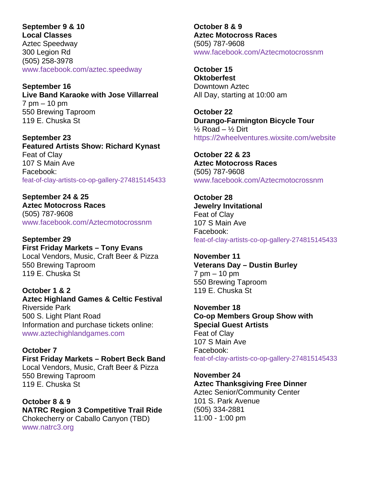## **September 9 & 10 Local Classes**

Aztec Speedway 300 Legion Rd (505) 258-3978 [www.facebook.com/aztec.speedway](http://www.facebook.com/aztec.speedway/)

**September 16 Live Band Karaoke with Jose Villarreal** 7 pm – 10 pm 550 Brewing Taproom 119 E. Chuska St

**September 23 Featured Artists Show: Richard Kynast** Feat of Clay 107 S Main Ave Facebook: feat-of-clay-artists-co-op-gallery-274815145433

**September 24 & 25 Aztec Motocross Races** (505) 787-9608 www.facebook.com/Aztecmotocrossnm

**September 29 First Friday Markets – Tony Evans** Local Vendors, Music, Craft Beer & Pizza 550 Brewing Taproom 119 E. Chuska St

**October 1 & 2 Aztec Highland Games & Celtic Festival** Riverside Park 500 S. Light Plant Road Information and purchase tickets online: [www.aztechighlandgames.com](http://www.aztechighlandgames.com/)

**October 7 First Friday Markets – Robert Beck Band** Local Vendors, Music, Craft Beer & Pizza 550 Brewing Taproom 119 E. Chuska St

**October 8 & 9 NATRC Region 3 Competitive Trail Ride** Chokecherry or Caballo Canyon (TBD) [www.natrc3.org](http://www.natrc3.org/)

**October 8 & 9 Aztec Motocross Races** (505) 787-9608 www.facebook.com/Aztecmotocrossnm

**October 15 Oktoberfest** Downtown Aztec All Day, starting at 10:00 am

**October 22 Durango-Farmington Bicycle Tour**  $\frac{1}{2}$  Road –  $\frac{1}{2}$  Dirt https://2wheelventures.wixsite.com/website

**October 22 & 23 Aztec Motocross Races** (505) 787-9608 www.facebook.com/Aztecmotocrossnm

**October 28 Jewelry Invitational** Feat of Clay 107 S Main Ave Facebook: feat-of-clay-artists-co-op-gallery-274815145433

**November 11 Veterans Day – Dustin Burley** 7 pm – 10 pm 550 Brewing Taproom 119 E. Chuska St

**November 18 Co-op Members Group Show with Special Guest Artists** Feat of Clay 107 S Main Ave Facebook: feat-of-clay-artists-co-op-gallery-274815145433

**November 24 Aztec Thanksgiving Free Dinner** Aztec Senior/Community Center 101 S. Park Avenue (505) 334-2881 11:00 - 1:00 pm